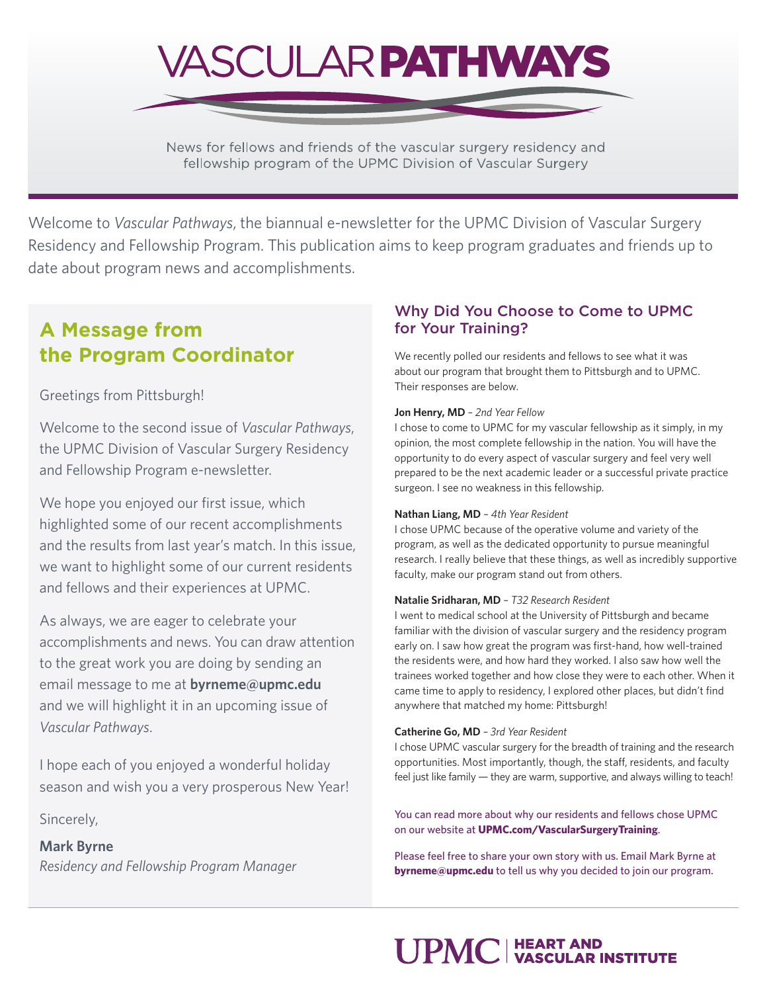# **VASCULAR PATHWAYS**

News for fellows and friends of the vascular surgery residency and fellowship program of the UPMC Division of Vascular Surgery

Welcome to *Vascular Pathways*, the biannual e-newsletter for the UPMC Division of Vascular Surgery Residency and Fellowship Program. This publication aims to keep program graduates and friends up to date about program news and accomplishments.

## **A Message from the Program Coordinator**

#### Greetings from Pittsburgh!

Welcome to the second issue of *Vascular Pathways*, the UPMC Division of Vascular Surgery Residency and Fellowship Program e-newsletter.

We hope you enjoyed our first issue, which highlighted some of our recent accomplishments and the results from last year's match. In this issue, we want to highlight some of our current residents and fellows and their experiences at UPMC.

As always, we are eager to celebrate your accomplishments and news. You can draw attention to the great work you are doing by sending an email message to me at **byrneme@upmc.edu** and we will highlight it in an upcoming issue of *Vascular Pathways*.

I hope each of you enjoyed a wonderful holiday season and wish you a very prosperous New Year!

Sincerely,

#### **Mark Byrne**

*Residency and Fellowship Program Manager*

#### Why Did You Choose to Come to UPMC for Your Training?

We recently polled our residents and fellows to see what it was about our program that brought them to Pittsburgh and to UPMC. Their responses are below.

#### **Jon Henry, MD** *– 2nd Year Fellow*

I chose to come to UPMC for my vascular fellowship as it simply, in my opinion, the most complete fellowship in the nation. You will have the opportunity to do every aspect of vascular surgery and feel very well prepared to be the next academic leader or a successful private practice surgeon. I see no weakness in this fellowship.

#### **Nathan Liang, MD** *– 4th Year Resident*

I chose UPMC because of the operative volume and variety of the program, as well as the dedicated opportunity to pursue meaningful research. I really believe that these things, as well as incredibly supportive faculty, make our program stand out from others.

#### **Natalie Sridharan, MD** *– T32 Research Resident*

I went to medical school at the University of Pittsburgh and became familiar with the division of vascular surgery and the residency program early on. I saw how great the program was first-hand, how well-trained the residents were, and how hard they worked. I also saw how well the trainees worked together and how close they were to each other. When it came time to apply to residency, I explored other places, but didn't find anywhere that matched my home: Pittsburgh!

#### **Catherine Go, MD** *– 3rd Year Resident*

I chose UPMC vascular surgery for the breadth of training and the research opportunities. Most importantly, though, the staff, residents, and faculty feel just like family — they are warm, supportive, and always willing to teach!

You can read more about why our residents and fellows chose UPMC on our website at **UPMC.com/VascularSurgeryTraining**.

Please feel free to share your own story with us. Email Mark Byrne at **byrneme@upmc.edu** to tell us why you decided to join our program.

## **UPMC** NEART AND